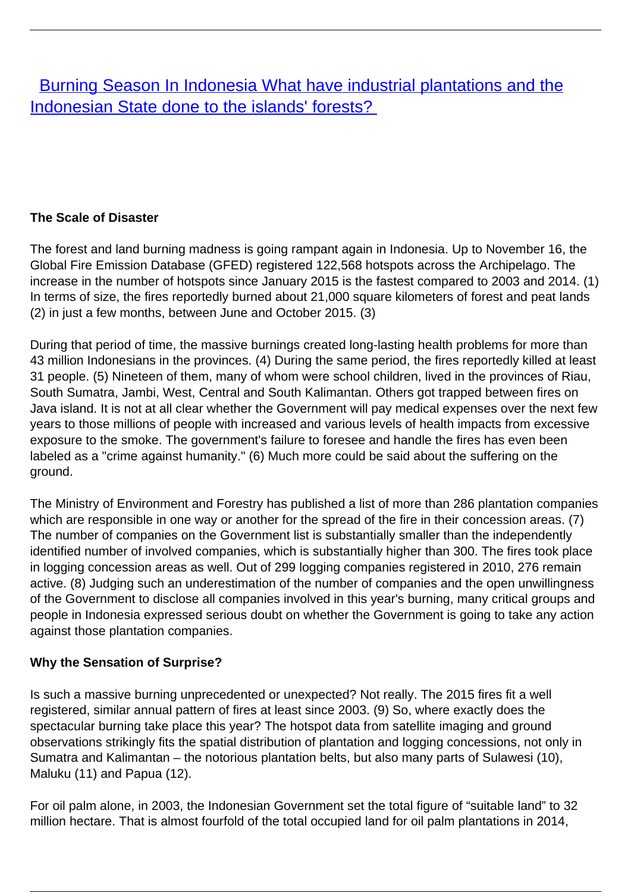# **[Burning Season In Indonesia What have industrial plantations and the](/bulletin-articles/burning-season-in-indonesia-what-have-industrial-plantations-and-the-indonesian-state-done-to-the-islands)** [Indonesian State done to the islands' forests?](/bulletin-articles/burning-season-in-indonesia-what-have-industrial-plantations-and-the-indonesian-state-done-to-the-islands)

# **The Scale of Disaster**

The forest and land burning madness is going rampant again in Indonesia. Up to November 16, the Global Fire Emission Database (GFED) registered 122,568 hotspots across the Archipelago. The increase in the number of hotspots since January 2015 is the fastest compared to 2003 and 2014. (1) In terms of size, the fires reportedly burned about 21,000 square kilometers of forest and peat lands (2) in just a few months, between June and October 2015. (3)

During that period of time, the massive burnings created long-lasting health problems for more than 43 million Indonesians in the provinces. (4) During the same period, the fires reportedly killed at least 31 people. (5) Nineteen of them, many of whom were school children, lived in the provinces of Riau, South Sumatra, Jambi, West, Central and South Kalimantan. Others got trapped between fires on Java island. It is not at all clear whether the Government will pay medical expenses over the next few years to those millions of people with increased and various levels of health impacts from excessive exposure to the smoke. The government's failure to foresee and handle the fires has even been labeled as a "crime against humanity." (6) Much more could be said about the suffering on the ground.

The Ministry of Environment and Forestry has published a list of more than 286 plantation companies which are responsible in one way or another for the spread of the fire in their concession areas. (7) The number of companies on the Government list is substantially smaller than the independently identified number of involved companies, which is substantially higher than 300. The fires took place in logging concession areas as well. Out of 299 logging companies registered in 2010, 276 remain active. (8) Judging such an underestimation of the number of companies and the open unwillingness of the Government to disclose all companies involved in this year's burning, many critical groups and people in Indonesia expressed serious doubt on whether the Government is going to take any action against those plantation companies.

# **Why the Sensation of Surprise?**

Is such a massive burning unprecedented or unexpected? Not really. The 2015 fires fit a well registered, similar annual pattern of fires at least since 2003. (9) So, where exactly does the spectacular burning take place this year? The hotspot data from satellite imaging and ground observations strikingly fits the spatial distribution of plantation and logging concessions, not only in Sumatra and Kalimantan – the notorious plantation belts, but also many parts of Sulawesi (10), Maluku (11) and Papua (12).

For oil palm alone, in 2003, the Indonesian Government set the total figure of "suitable land" to 32 million hectare. That is almost fourfold of the total occupied land for oil palm plantations in 2014,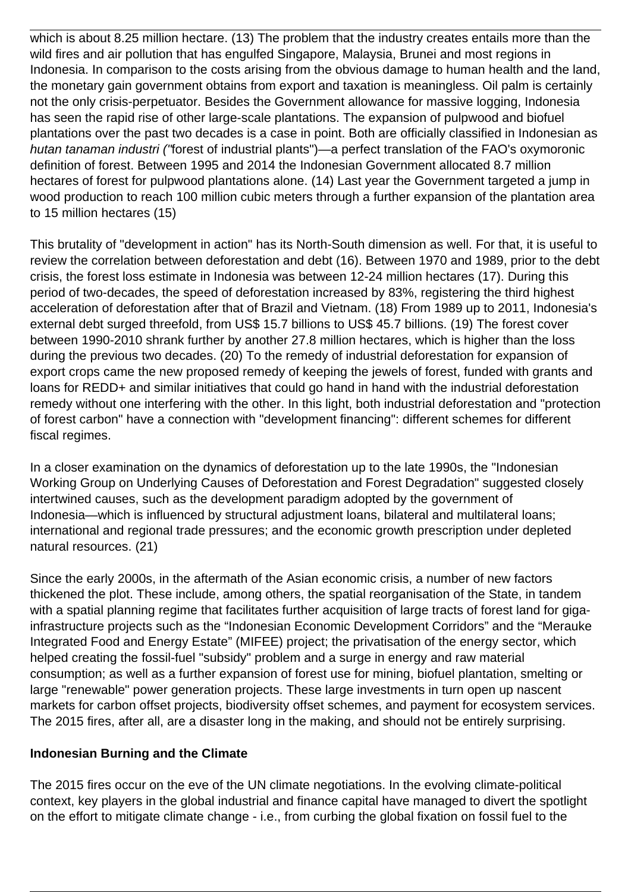which is about 8.25 million hectare. (13) The problem that the industry creates entails more than the wild fires and air pollution that has engulfed Singapore, Malaysia, Brunei and most regions in Indonesia. In comparison to the costs arising from the obvious damage to human health and the land, the monetary gain government obtains from export and taxation is meaningless. Oil palm is certainly not the only crisis-perpetuator. Besides the Government allowance for massive logging, Indonesia has seen the rapid rise of other large-scale plantations. The expansion of pulpwood and biofuel plantations over the past two decades is a case in point. Both are officially classified in Indonesian as hutan tanaman industri ("forest of industrial plants")—a perfect translation of the FAO's oxymoronic definition of forest. Between 1995 and 2014 the Indonesian Government allocated 8.7 million hectares of forest for pulpwood plantations alone. (14) Last year the Government targeted a jump in wood production to reach 100 million cubic meters through a further expansion of the plantation area to 15 million hectares (15)

This brutality of "development in action" has its North-South dimension as well. For that, it is useful to review the correlation between deforestation and debt (16). Between 1970 and 1989, prior to the debt crisis, the forest loss estimate in Indonesia was between 12-24 million hectares (17). During this period of two-decades, the speed of deforestation increased by 83%, registering the third highest acceleration of deforestation after that of Brazil and Vietnam. (18) From 1989 up to 2011, Indonesia's external debt surged threefold, from US\$ 15.7 billions to US\$ 45.7 billions. (19) The forest cover between 1990-2010 shrank further by another 27.8 million hectares, which is higher than the loss during the previous two decades. (20) To the remedy of industrial deforestation for expansion of export crops came the new proposed remedy of keeping the jewels of forest, funded with grants and loans for REDD+ and similar initiatives that could go hand in hand with the industrial deforestation remedy without one interfering with the other. In this light, both industrial deforestation and "protection of forest carbon" have a connection with "development financing": different schemes for different fiscal regimes.

In a closer examination on the dynamics of deforestation up to the late 1990s, the "Indonesian Working Group on Underlying Causes of Deforestation and Forest Degradation" suggested closely intertwined causes, such as the development paradigm adopted by the government of Indonesia—which is influenced by structural adjustment loans, bilateral and multilateral loans; international and regional trade pressures; and the economic growth prescription under depleted natural resources. (21)

Since the early 2000s, in the aftermath of the Asian economic crisis, a number of new factors thickened the plot. These include, among others, the spatial reorganisation of the State, in tandem with a spatial planning regime that facilitates further acquisition of large tracts of forest land for gigainfrastructure projects such as the "Indonesian Economic Development Corridors" and the "Merauke Integrated Food and Energy Estate" (MIFEE) project; the privatisation of the energy sector, which helped creating the fossil-fuel "subsidy" problem and a surge in energy and raw material consumption; as well as a further expansion of forest use for mining, biofuel plantation, smelting or large "renewable" power generation projects. These large investments in turn open up nascent markets for carbon offset projects, biodiversity offset schemes, and payment for ecosystem services. The 2015 fires, after all, are a disaster long in the making, and should not be entirely surprising.

### **Indonesian Burning and the Climate**

The 2015 fires occur on the eve of the UN climate negotiations. In the evolving climate-political context, key players in the global industrial and finance capital have managed to divert the spotlight on the effort to mitigate climate change - i.e., from curbing the global fixation on fossil fuel to the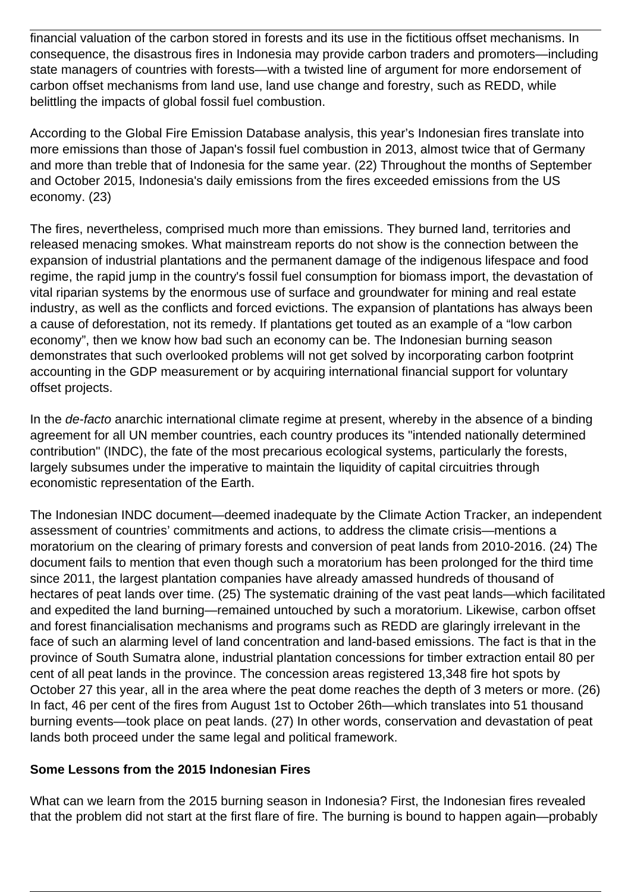financial valuation of the carbon stored in forests and its use in the fictitious offset mechanisms. In consequence, the disastrous fires in Indonesia may provide carbon traders and promoters—including state managers of countries with forests—with a twisted line of argument for more endorsement of carbon offset mechanisms from land use, land use change and forestry, such as REDD, while belittling the impacts of global fossil fuel combustion.

According to the Global Fire Emission Database analysis, this year's Indonesian fires translate into more emissions than those of Japan's fossil fuel combustion in 2013, almost twice that of Germany and more than treble that of Indonesia for the same year. (22) Throughout the months of September and October 2015, Indonesia's daily emissions from the fires exceeded emissions from the US economy. (23)

The fires, nevertheless, comprised much more than emissions. They burned land, territories and released menacing smokes. What mainstream reports do not show is the connection between the expansion of industrial plantations and the permanent damage of the indigenous lifespace and food regime, the rapid jump in the country's fossil fuel consumption for biomass import, the devastation of vital riparian systems by the enormous use of surface and groundwater for mining and real estate industry, as well as the conflicts and forced evictions. The expansion of plantations has always been a cause of deforestation, not its remedy. If plantations get touted as an example of a "low carbon economy", then we know how bad such an economy can be. The Indonesian burning season demonstrates that such overlooked problems will not get solved by incorporating carbon footprint accounting in the GDP measurement or by acquiring international financial support for voluntary offset projects.

In the *de-facto* anarchic international climate regime at present, whereby in the absence of a binding agreement for all UN member countries, each country produces its "intended nationally determined contribution" (INDC), the fate of the most precarious ecological systems, particularly the forests, largely subsumes under the imperative to maintain the liquidity of capital circuitries through economistic representation of the Earth.

The Indonesian INDC document—deemed inadequate by the Climate Action Tracker, an independent assessment of countries' commitments and actions, to address the climate crisis—mentions a moratorium on the clearing of primary forests and conversion of peat lands from 2010-2016. (24) The document fails to mention that even though such a moratorium has been prolonged for the third time since 2011, the largest plantation companies have already amassed hundreds of thousand of hectares of peat lands over time. (25) The systematic draining of the vast peat lands—which facilitated and expedited the land burning—remained untouched by such a moratorium. Likewise, carbon offset and forest financialisation mechanisms and programs such as REDD are glaringly irrelevant in the face of such an alarming level of land concentration and land-based emissions. The fact is that in the province of South Sumatra alone, industrial plantation concessions for timber extraction entail 80 per cent of all peat lands in the province. The concession areas registered 13,348 fire hot spots by October 27 this year, all in the area where the peat dome reaches the depth of 3 meters or more. (26) In fact, 46 per cent of the fires from August 1st to October 26th—which translates into 51 thousand burning events—took place on peat lands. (27) In other words, conservation and devastation of peat lands both proceed under the same legal and political framework.

### **Some Lessons from the 2015 Indonesian Fires**

What can we learn from the 2015 burning season in Indonesia? First, the Indonesian fires revealed that the problem did not start at the first flare of fire. The burning is bound to happen again—probably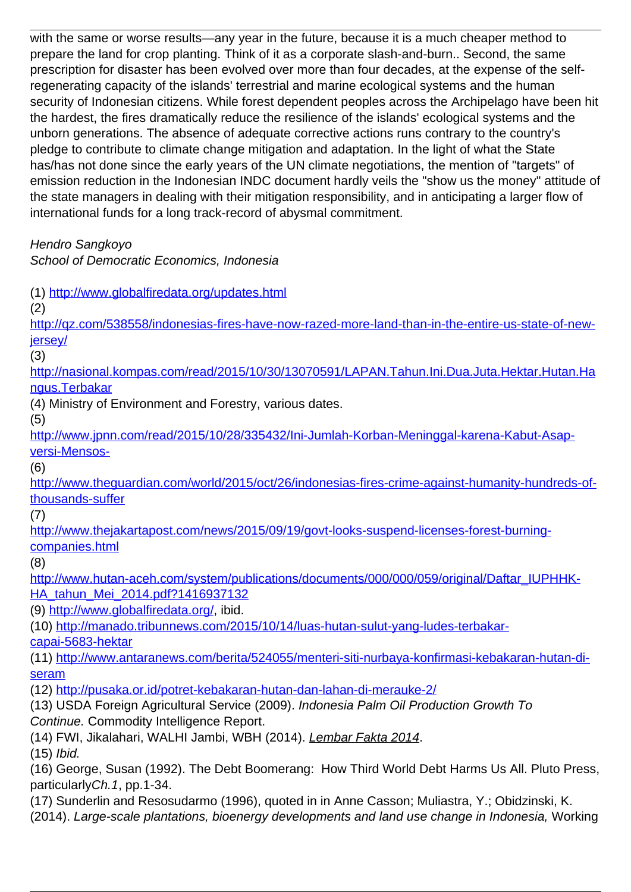with the same or worse results—any year in the future, because it is a much cheaper method to prepare the land for crop planting. Think of it as a corporate slash-and-burn.. Second, the same prescription for disaster has been evolved over more than four decades, at the expense of the selfregenerating capacity of the islands' terrestrial and marine ecological systems and the human security of Indonesian citizens. While forest dependent peoples across the Archipelago have been hit the hardest, the fires dramatically reduce the resilience of the islands' ecological systems and the unborn generations. The absence of adequate corrective actions runs contrary to the country's pledge to contribute to climate change mitigation and adaptation. In the light of what the State has/has not done since the early years of the UN climate negotiations, the mention of "targets" of emission reduction in the Indonesian INDC document hardly veils the "show us the money" attitude of the state managers in dealing with their mitigation responsibility, and in anticipating a larger flow of international funds for a long track-record of abysmal commitment.

Hendro Sangkoyo

School of Democratic Economics, Indonesia

(1)<http://www.globalfiredata.org/updates.html>

(2)

[http://qz.com/538558/indonesias-fires-have-now-razed-more-land-than-in-the-entire-us-state-of-new](http://qz.com/538558/indonesias-fires-have-now-razed-more-land-than-in-the-entire-us-state-of-new-jersey/)[jersey/](http://qz.com/538558/indonesias-fires-have-now-razed-more-land-than-in-the-entire-us-state-of-new-jersey/)

(3)

[http://nasional.kompas.com/read/2015/10/30/13070591/LAPAN.Tahun.Ini.Dua.Juta.Hektar.Hutan.Ha](http://nasional.kompas.com/read/2015/10/30/13070591/LAPAN.Tahun.Ini.Dua.Juta.Hektar.Hutan.Hangus.Terbakar) [ngus.Terbakar](http://nasional.kompas.com/read/2015/10/30/13070591/LAPAN.Tahun.Ini.Dua.Juta.Hektar.Hutan.Hangus.Terbakar)

(4) Ministry of Environment and Forestry, various dates.

(5)

[http://www.jpnn.com/read/2015/10/28/335432/Ini-Jumlah-Korban-Meninggal-karena-Kabut-Asap](http://www.jpnn.com/read/2015/10/28/335432/Ini-Jumlah-Korban-Meninggal-karena-Kabut-Asap-versi-Mensos-)[versi-Mensos-](http://www.jpnn.com/read/2015/10/28/335432/Ini-Jumlah-Korban-Meninggal-karena-Kabut-Asap-versi-Mensos-)

(6)

[http://www.theguardian.com/world/2015/oct/26/indonesias-fires-crime-against-humanity-hundreds-of](http://www.theguardian.com/world/2015/oct/26/indonesias-fires-crime-against-humanity-hundreds-of-thousands-suffer)[thousands-suffer](http://www.theguardian.com/world/2015/oct/26/indonesias-fires-crime-against-humanity-hundreds-of-thousands-suffer)

(7)

[http://www.thejakartapost.com/news/2015/09/19/govt-looks-suspend-licenses-forest-burning](http://www.thejakartapost.com/news/2015/09/19/govt-looks-suspend-licenses-forest-burning-companies.html)[companies.html](http://www.thejakartapost.com/news/2015/09/19/govt-looks-suspend-licenses-forest-burning-companies.html)

(8)

[http://www.hutan-aceh.com/system/publications/documents/000/000/059/original/Daftar\\_IUPHHK-](http://www.hutan-aceh.com/system/publications/documents/000/000/059/original/Daftar_IUPHHK-HA_tahun_Mei_2014.pdf?1416937132)[HA\\_tahun\\_Mei\\_2014.pdf?1416937132](http://www.hutan-aceh.com/system/publications/documents/000/000/059/original/Daftar_IUPHHK-HA_tahun_Mei_2014.pdf?1416937132)

(9) [http://www.globalfiredata.org/,](http://www.globalfiredata.org/) ibid.

(10) [http://manado.tribunnews.com/2015/10/14/luas-hutan-sulut-yang-ludes-terbakar](http://manado.tribunnews.com/2015/10/14/luas-hutan-sulut-yang-ludes-terbakar-capai-5683-hektar)[capai-5683-hektar](http://manado.tribunnews.com/2015/10/14/luas-hutan-sulut-yang-ludes-terbakar-capai-5683-hektar)

(11) [http://www.antaranews.com/berita/524055/menteri-siti-nurbaya-konfirmasi-kebakaran-hutan-di](http://www.antaranews.com/berita/524055/menteri-siti-nurbaya-konfirmasi-kebakaran-hutan-di-seram)[seram](http://www.antaranews.com/berita/524055/menteri-siti-nurbaya-konfirmasi-kebakaran-hutan-di-seram)

(12)<http://pusaka.or.id/potret-kebakaran-hutan-dan-lahan-di-merauke-2/>

(13) USDA Foreign Agricultural Service (2009). Indonesia Palm Oil Production Growth To Continue. Commodity Intelligence Report.

(14) FWI, Jikalahari, WALHI Jambi, WBH (2014). Lembar Fakta 2014.

(15) Ibid.

(16) George, Susan (1992). The Debt Boomerang: How Third World Debt Harms Us All. Pluto Press, particularlyCh.1, pp.1-34.

(17) Sunderlin and Resosudarmo (1996), quoted in in Anne Casson; Muliastra, Y.; Obidzinski, K.

(2014). Large-scale plantations, bioenergy developments and land use change in Indonesia, Working